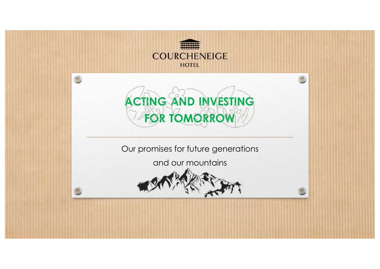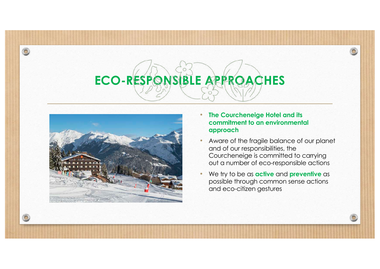

- **The Courcheneige Hotel and its commitment to an environmental approach**
- Aware of the fragile balance of our planet and of our responsibilities, the Courcheneige is committed to carrying out a number of eco-responsible actions
- We try to be as **active** and **preventive** as possible through common sense actions and eco-citizen gestures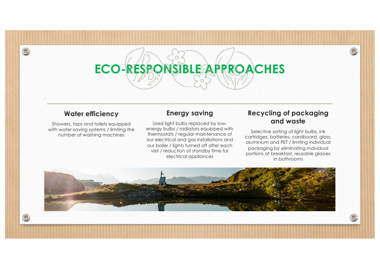#### **Water efficiency**

 $\odot$ 

Showers, taps and toilets equipped with water-saving systems / limiting the number of washing machines

#### **Energy saving**

Used light bulbs replaced by lowenergy bulbs / radiators equipped with thermostats / regular maintenance of our electrical and gas installations and our boiler / lights turned off after each visit / reduction of standby time for electrical appliances

#### **Recycling of packaging and waste**

Selective sorting of light bulbs, ink cartridges, batteries, cardboard, glass, aluminium and PET / limiting individual packaging by eliminating individual portions at breakfast, reusable glasses in bathrooms

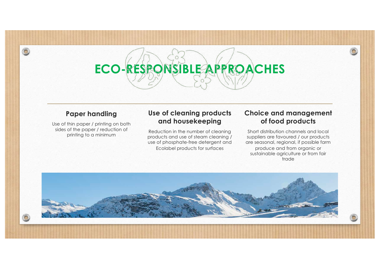#### **Paper handling**

 $\circ$ 

Use of thin paper / printing on both sides of the paper / reduction of printing to a minimum

#### **Use of cleaning products and housekeeping**

Reduction in the number of cleaning products and use of steam cleaning / use of phosphate-free detergent and Ecolabel products for surfaces

#### **Choice and management of food products**

Short distribution channels and local suppliers are favoured / our products are seasonal, regional, if possible farm produce and from organic or sustainable agriculture or from fair trade

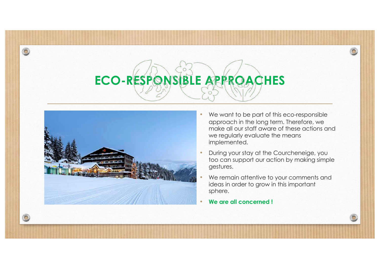

- We want to be part of this eco-responsible approach in the long term. Therefore, we make all our staff aware of these actions and we regularly evaluate the means implemented.
- During your stay at the Courcheneige, you too can support our action by making simple gestures.
- We remain attentive to your comments and ideas in order to grow in this important sphere.
- **We are all concerned !**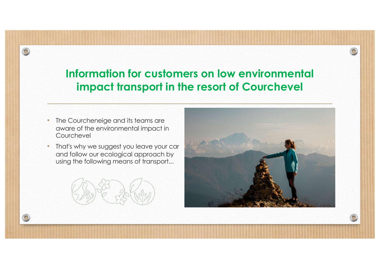#### **Information for customers on low environmental impact transport in the resort of Courchevel**

• The Courcheneige and its teams are aware of the environmental impact in Courchevel

 $\circledcirc$ 

• That's why we suggest you leave your car and follow our ecological approach by using the following means of transport...



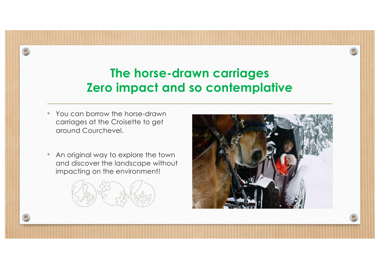## **The horse-drawn carriages Zero impact and so contemplative**

• You can borrow the horse-drawn carriages at the Croisette to get around Courchevel.

 $\circledcirc$ 

• An original way to explore the town and discover the landscape without impacting on the environment!



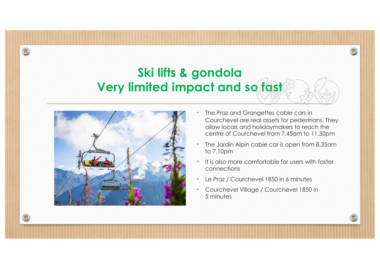## **Ski lifts & gondola Very limited impact and so fast**



 $\odot$ 

- The Praz and Grangettes cable cars in Courchevel are real assets for pedestrians. They allow locals and holidaymakers to reach the centre of Courchevel from 7.45am to 11.30pm
- The Jardin Alpin cable car is open from 8.35am to 7.10pm
- It is also more comfortable for users with faster connections
- Le Praz / Courchevel 1850 in 6 minutes
- Courchevel Village / Courchevel 1850 in 5 minutes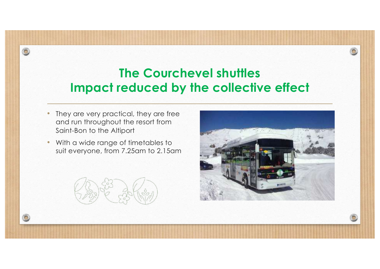## **The Courchevel shuttles Impact reduced by the collective effect**

• They are very practical, they are free and run throughout the resort from Saint-Bon to the Altiport

 $\circledcirc$ 

• With a wide range of timetables to suit everyone, from 7.25am to 2.15am



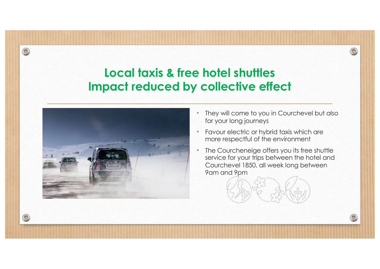### **Local taxis & free hotel shuttles Impact reduced by collective effect**



- They will come to you in Courchevel but also for your long journeys
- Favour electric or hybrid taxis which are more respectful of the environment
- The Courcheneige offers you its free shuttle service for your trips between the hotel and Courchevel 1850, all week long between 9am and 9pm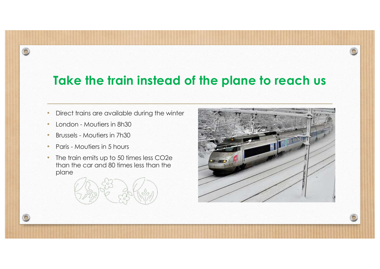## **Take the train instead of the plane to reach us**

- Direct trains are available during the winter
- London Moutiers in 8h30

- Brussels Moutiers in 7h30
- Paris Moutiers in 5 hours
- The train emits up to 50 times less CO2e than the car and 80 times less than the plane



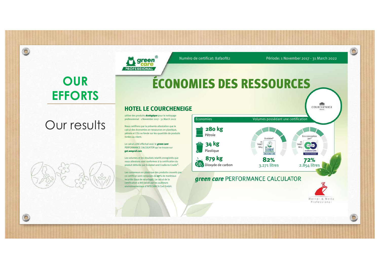ÉCONOMIES DES RESSOURCES

Numéro de certificat: 8afa0f82 Période: 1 November 2017 - 31 March 2022

 $\bullet$ 

# **OUR EFFORTS**

 $\circledcirc$ 

 $\bigcirc$ 

# Our results



#### HOTEL LE COURCHENEIGE

utilise des produits écologique pour le nettoyage professionnel 1 November 2017 - 31 March 2022

reen

**PROFESSIONAL** 

Nous certifions par la présente attestation que le calcul des économies en ressources en plastique, pétrole et CO2 se fonde sur les quantités de produits livrées au client.

Le calcul a été effectué avec le **green care** PERFORMANCE CALCULATOR qui se trouve sur get.wmprof.com get.wmprof.com

Les volumes et les résultats relatifs enregistrés que nous attestons sont conformes à la certification du produit délivrée par Ecolabel and Cradle-to-Cradle®.

Les conteneurs en plastique des produits couverts par ce certificat sont composés de 27% de matériaux recyclés (taux de recyclage). Le calcul de la certification a été validé par les auditeurs environnementaux d'INTECHNICA Cert GmbH.



Werner & Mertz Professional

mm<sub>m</sub>